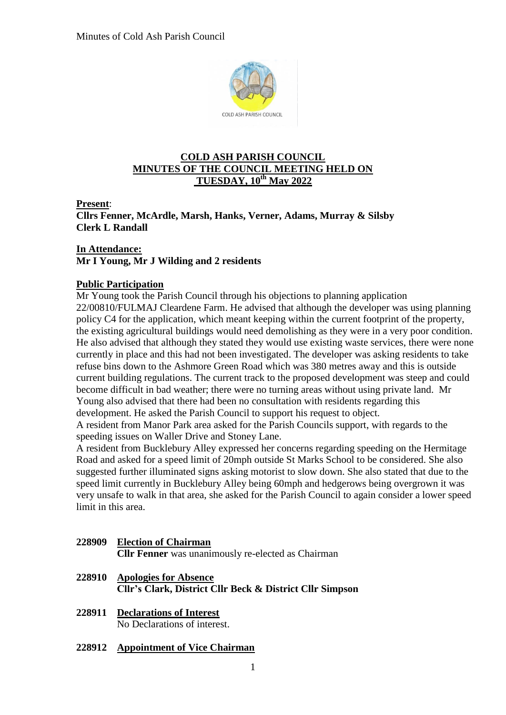

## **COLD ASH PARISH COUNCIL MINUTES OF THE COUNCIL MEETING HELD ON TUESDAY, 10 th May 2022**

**Present**:

**Cllrs Fenner, McArdle, Marsh, Hanks, Verner, Adams, Murray & Silsby Clerk L Randall**

## **In Attendance: Mr I Young, Mr J Wilding and 2 residents**

# **Public Participation**

Mr Young took the Parish Council through his objections to planning application 22/00810/FULMAJ Cleardene Farm. He advised that although the developer was using planning policy C4 for the application, which meant keeping within the current footprint of the property, the existing agricultural buildings would need demolishing as they were in a very poor condition. He also advised that although they stated they would use existing waste services, there were none currently in place and this had not been investigated. The developer was asking residents to take refuse bins down to the Ashmore Green Road which was 380 metres away and this is outside current building regulations. The current track to the proposed development was steep and could become difficult in bad weather; there were no turning areas without using private land. Mr Young also advised that there had been no consultation with residents regarding this development. He asked the Parish Council to support his request to object.

A resident from Manor Park area asked for the Parish Councils support, with regards to the speeding issues on Waller Drive and Stoney Lane.

A resident from Bucklebury Alley expressed her concerns regarding speeding on the Hermitage Road and asked for a speed limit of 20mph outside St Marks School to be considered. She also suggested further illuminated signs asking motorist to slow down. She also stated that due to the speed limit currently in Bucklebury Alley being 60mph and hedgerows being overgrown it was very unsafe to walk in that area, she asked for the Parish Council to again consider a lower speed limit in this area.

## **228909 Election of Chairman Cllr Fenner** was unanimously re-elected as Chairman

- **228910 Apologies for Absence Cllr's Clark, District Cllr Beck & District Cllr Simpson**
- **228911 Declarations of Interest** No Declarations of interest.

# **228912 Appointment of Vice Chairman**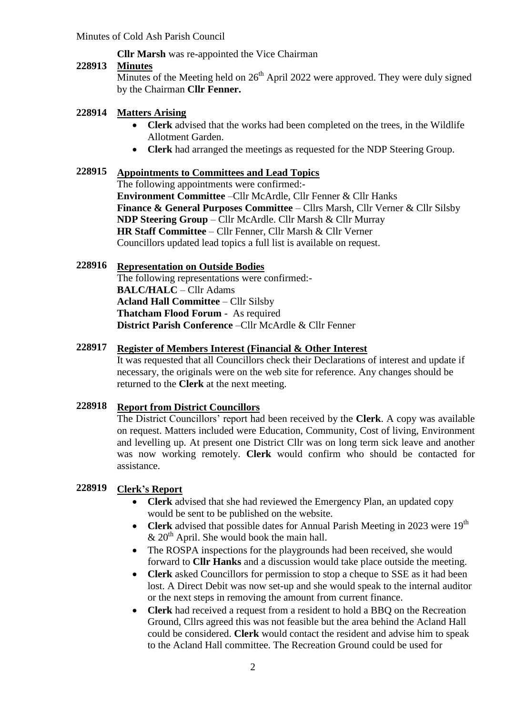# **Cllr Marsh** was re-appointed the Vice Chairman

### **228913 Minutes**

Minutes of the Meeting held on  $26<sup>th</sup>$  April 2022 were approved. They were duly signed by the Chairman **Cllr Fenner.**

### **228914 Matters Arising**

- **Clerk** advised that the works had been completed on the trees, in the Wildlife Allotment Garden.
- **Clerk** had arranged the meetings as requested for the NDP Steering Group.

## **228915 Appointments to Committees and Lead Topics**

The following appointments were confirmed:- **Environment Committee** –Cllr McArdle, Cllr Fenner & Cllr Hanks **Finance & General Purposes Committee** – Cllrs Marsh, Cllr Verner & Cllr Silsby **NDP Steering Group** – Cllr McArdle. Cllr Marsh & Cllr Murray **HR Staff Committee** – Cllr Fenner, Cllr Marsh & Cllr Verner Councillors updated lead topics a full list is available on request.

### **228916 Representation on Outside Bodies**

The following representations were confirmed:- **BALC/HALC** – Cllr Adams **Acland Hall Committee** – Cllr Silsby **Thatcham Flood Forum** - As required **District Parish Conference** –Cllr McArdle & Cllr Fenner

### **228917 Register of Members Interest (Financial & Other Interest**

It was requested that all Councillors check their Declarations of interest and update if necessary, the originals were on the web site for reference. Any changes should be returned to the **Clerk** at the next meeting.

### **228918 Report from District Councillors**

The District Councillors' report had been received by the **Clerk**. A copy was available on request. Matters included were Education, Community, Cost of living, Environment and levelling up. At present one District Cllr was on long term sick leave and another was now working remotely. **Clerk** would confirm who should be contacted for assistance.

### **228919 Clerk's Report**

- **Clerk** advised that she had reviewed the Emergency Plan, an updated copy would be sent to be published on the website.
- Clerk advised that possible dates for Annual Parish Meeting in 2023 were 19<sup>th</sup>  $\&$  20<sup>th</sup> April. She would book the main hall.
- The ROSPA inspections for the playgrounds had been received, she would forward to **Cllr Hanks** and a discussion would take place outside the meeting.
- **Clerk** asked Councillors for permission to stop a cheque to SSE as it had been lost. A Direct Debit was now set-up and she would speak to the internal auditor or the next steps in removing the amount from current finance.
- **Clerk** had received a request from a resident to hold a BBQ on the Recreation Ground, Cllrs agreed this was not feasible but the area behind the Acland Hall could be considered. **Clerk** would contact the resident and advise him to speak to the Acland Hall committee. The Recreation Ground could be used for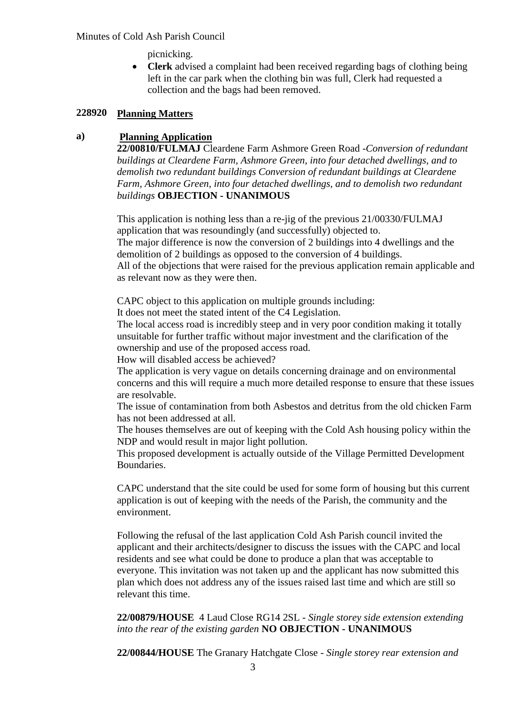## Minutes of Cold Ash Parish Council

picnicking.

 **Clerk** advised a complaint had been received regarding bags of clothing being left in the car park when the clothing bin was full, Clerk had requested a collection and the bags had been removed.

### **228920 Planning Matters**

## **a) Planning Application**

**22/00810/FULMAJ** Cleardene Farm Ashmore Green Road -*Conversion of redundant buildings at Cleardene Farm, Ashmore Green, into four detached dwellings, and to demolish two redundant buildings Conversion of redundant buildings at Cleardene Farm, Ashmore Green, into four detached dwellings, and to demolish two redundant buildings* **OBJECTION - UNANIMOUS**

This application is nothing less than a re-jig of the previous 21/00330/FULMAJ application that was resoundingly (and successfully) objected to. The major difference is now the conversion of 2 buildings into 4 dwellings and the demolition of 2 buildings as opposed to the conversion of 4 buildings. All of the objections that were raised for the previous application remain applicable and as relevant now as they were then.

CAPC object to this application on multiple grounds including:

It does not meet the stated intent of the C4 Legislation.

The local access road is incredibly steep and in very poor condition making it totally unsuitable for further traffic without major investment and the clarification of the ownership and use of the proposed access road.

How will disabled access be achieved?

The application is very vague on details concerning drainage and on environmental concerns and this will require a much more detailed response to ensure that these issues are resolvable.

The issue of contamination from both Asbestos and detritus from the old chicken Farm has not been addressed at all.

The houses themselves are out of keeping with the Cold Ash housing policy within the NDP and would result in major light pollution.

This proposed development is actually outside of the Village Permitted Development Boundaries.

CAPC understand that the site could be used for some form of housing but this current application is out of keeping with the needs of the Parish, the community and the environment.

Following the refusal of the last application Cold Ash Parish council invited the applicant and their architects/designer to discuss the issues with the CAPC and local residents and see what could be done to produce a plan that was acceptable to everyone. This invitation was not taken up and the applicant has now submitted this plan which does not address any of the issues raised last time and which are still so relevant this time.

**22/00879/HOUSE** 4 Laud Close RG14 2SL - *Single storey side extension extending into the rear of the existing garden* **NO OBJECTION - UNANIMOUS**

**22/00844/HOUSE** The Granary Hatchgate Close - *Single storey rear extension and*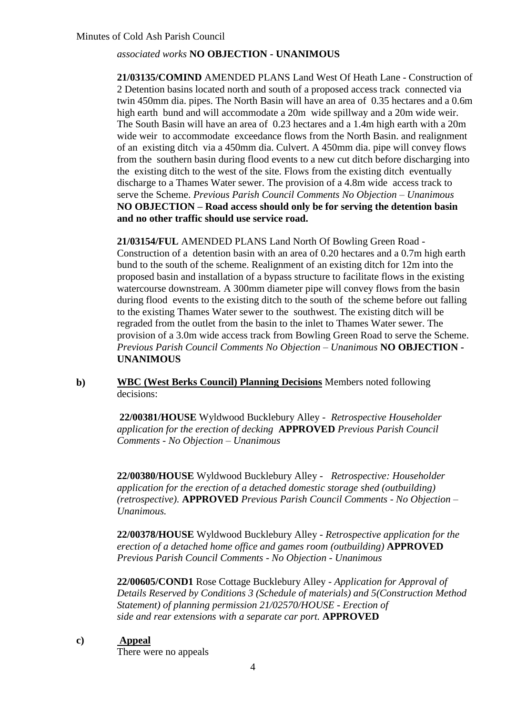# *associated works* **NO OBJECTION - UNANIMOUS**

**21/03135/COMIND** AMENDED PLANS Land West Of Heath Lane - Construction of 2 Detention basins located north and south of a proposed access track connected via twin 450mm dia. pipes. The North Basin will have an area of 0.35 hectares and a 0.6m high earth bund and will accommodate a 20m wide spillway and a 20m wide weir. The South Basin will have an area of 0.23 hectares and a 1.4m high earth with a 20m wide weir to accommodate exceedance flows from the North Basin. and realignment of an existing ditch via a 450mm dia. Culvert. A 450mm dia. pipe will convey flows from the southern basin during flood events to a new cut ditch before discharging into the existing ditch to the west of the site. Flows from the existing ditch eventually discharge to a Thames Water sewer. The provision of a 4.8m wide access track to serve the Scheme. *Previous Parish Council Comments No Objection – Unanimous* **NO OBJECTION – Road access should only be for serving the detention basin and no other traffic should use service road.**

**21/03154/FUL** AMENDED PLANS Land North Of Bowling Green Road - Construction of a detention basin with an area of 0.20 hectares and a 0.7m high earth bund to the south of the scheme. Realignment of an existing ditch for 12m into the proposed basin and installation of a bypass structure to facilitate flows in the existing watercourse downstream. A 300mm diameter pipe will convey flows from the basin during flood events to the existing ditch to the south of the scheme before out falling to the existing Thames Water sewer to the southwest. The existing ditch will be regraded from the outlet from the basin to the inlet to Thames Water sewer. The provision of a 3.0m wide access track from Bowling Green Road to serve the Scheme. *Previous Parish Council Comments No Objection – Unanimous* **NO OBJECTION - UNANIMOUS**

## **b) WBC (West Berks Council) Planning Decisions** Members noted following decisions:

**22/00381/HOUSE** Wyldwood Bucklebury Alley - *Retrospective Householder application for the erection of decking* **APPROVED** *Previous Parish Council Comments - No Objection – Unanimous*

**22/00380/HOUSE** Wyldwood Bucklebury Alley - *Retrospective: Householder application for the erection of a detached domestic storage shed (outbuilding) (retrospective).* **APPROVED** *Previous Parish Council Comments - No Objection – Unanimous.*

**22/00378/HOUSE** Wyldwood Bucklebury Alley - *Retrospective application for the erection of a detached home office and games room (outbuilding)* **APPROVED** *Previous Parish Council Comments - No Objection - Unanimous* 

**22/00605/COND1** Rose Cottage Bucklebury Alley *- Application for Approval of Details Reserved by Conditions 3 (Schedule of materials) and 5(Construction Method Statement) of planning permission 21/02570/HOUSE - Erection of side and rear extensions with a separate car port.* **APPROVED**

### **c) Appeal**

There were no appeals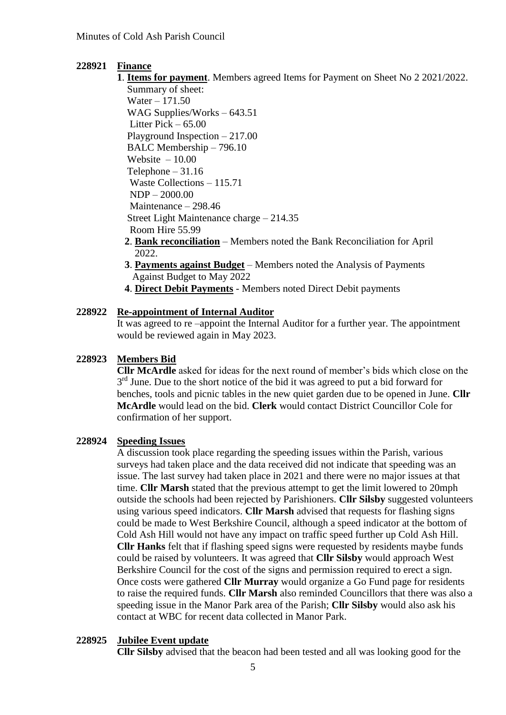# **228921 Finance**

**1**. **Items for payment**. Members agreed Items for Payment on Sheet No 2 2021/2022. Summary of sheet:

 Water – 171.50 WAG Supplies/Works – 643.51 Litter Pick – 65.00 Playground Inspection – 217.00 BALC Membership – 796.10 Website  $-10.00$ Telephone  $-31.16$  Waste Collections – 115.71 NDP – 2000.00 Maintenance – 298.46 Street Light Maintenance charge – 214.35 Room Hire 55.99

- **2**. **Bank reconciliation** Members noted the Bank Reconciliation for April 2022.
- **3**. **Payments against Budget** Members noted the Analysis of Payments Against Budget to May 2022
- **4**. **Direct Debit Payments** Members noted Direct Debit payments

# **228922 Re-appointment of Internal Auditor**

It was agreed to re –appoint the Internal Auditor for a further year. The appointment would be reviewed again in May 2023.

#### **228923 Members Bid**

**Cllr McArdle** asked for ideas for the next round of member's bids which close on the 3<sup>rd</sup> June. Due to the short notice of the bid it was agreed to put a bid forward for benches, tools and picnic tables in the new quiet garden due to be opened in June. **Cllr McArdle** would lead on the bid. **Clerk** would contact District Councillor Cole for confirmation of her support.

#### **228924 Speeding Issues**

A discussion took place regarding the speeding issues within the Parish, various surveys had taken place and the data received did not indicate that speeding was an issue. The last survey had taken place in 2021 and there were no major issues at that time. **Cllr Marsh** stated that the previous attempt to get the limit lowered to 20mph outside the schools had been rejected by Parishioners. **Cllr Silsby** suggested volunteers using various speed indicators. **Cllr Marsh** advised that requests for flashing signs could be made to West Berkshire Council, although a speed indicator at the bottom of Cold Ash Hill would not have any impact on traffic speed further up Cold Ash Hill. **Cllr Hanks** felt that if flashing speed signs were requested by residents maybe funds could be raised by volunteers. It was agreed that **Cllr Silsby** would approach West Berkshire Council for the cost of the signs and permission required to erect a sign. Once costs were gathered **Cllr Murray** would organize a Go Fund page for residents to raise the required funds. **Cllr Marsh** also reminded Councillors that there was also a speeding issue in the Manor Park area of the Parish; **Cllr Silsby** would also ask his contact at WBC for recent data collected in Manor Park.

### **228925 Jubilee Event update**

**Cllr Silsby** advised that the beacon had been tested and all was looking good for the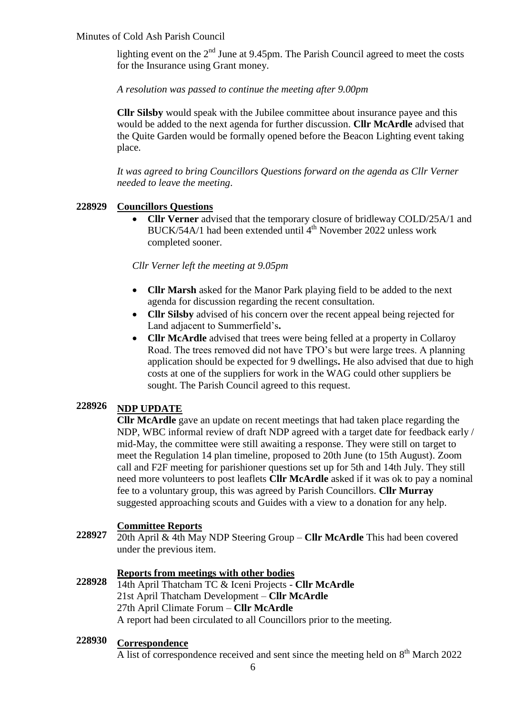## Minutes of Cold Ash Parish Council

lighting event on the  $2<sup>nd</sup>$  June at 9.45pm. The Parish Council agreed to meet the costs for the Insurance using Grant money.

*A resolution was passed to continue the meeting after 9.00pm*

**Cllr Silsby** would speak with the Jubilee committee about insurance payee and this would be added to the next agenda for further discussion. **Cllr McArdle** advised that the Quite Garden would be formally opened before the Beacon Lighting event taking place.

*It was agreed to bring Councillors Questions forward on the agenda as Cllr Verner needed to leave the meeting*.

#### **228929 Councillors Questions**

 **Cllr Verner** advised that the temporary closure of bridleway COLD/25A/1 and BUCK/54A/1 had been extended until 4<sup>th</sup> November 2022 unless work completed sooner.

## *Cllr Verner left the meeting at 9.05pm*

- **Cllr Marsh** asked for the Manor Park playing field to be added to the next agenda for discussion regarding the recent consultation.
- **Cllr Silsby** advised of his concern over the recent appeal being rejected for Land adjacent to Summerfield's**.**
- **Cllr McArdle** advised that trees were being felled at a property in Collaroy Road. The trees removed did not have TPO's but were large trees. A planning application should be expected for 9 dwellings**.** He also advised that due to high costs at one of the suppliers for work in the WAG could other suppliers be sought. The Parish Council agreed to this request.

## **228926 NDP UPDATE**

**Cllr McArdle** gave an update on recent meetings that had taken place regarding the NDP, WBC informal review of draft NDP agreed with a target date for feedback early / mid-May, the committee were still awaiting a response. They were still on target to meet the Regulation 14 plan timeline, proposed to 20th June (to 15th August). Zoom call and F2F meeting for parishioner questions set up for 5th and 14th July. They still need more volunteers to post leaflets **Cllr McArdle** asked if it was ok to pay a nominal fee to a voluntary group, this was agreed by Parish Councillors. **Cllr Murray** suggested approaching scouts and Guides with a view to a donation for any help.

## **Committee Reports**

**228927** 20th April & 4th May NDP Steering Group – **Cllr McArdle** This had been covered under the previous item.

# **Reports from meetings with other bodies**

**228928** 14th April Thatcham TC & Iceni Projects - **Cllr McArdle** 21st April Thatcham Development – **Cllr McArdle** 27th April Climate Forum – **Cllr McArdle** A report had been circulated to all Councillors prior to the meeting.

## **228930 Correspondence**

A list of correspondence received and sent since the meeting held on 8<sup>th</sup> March 2022